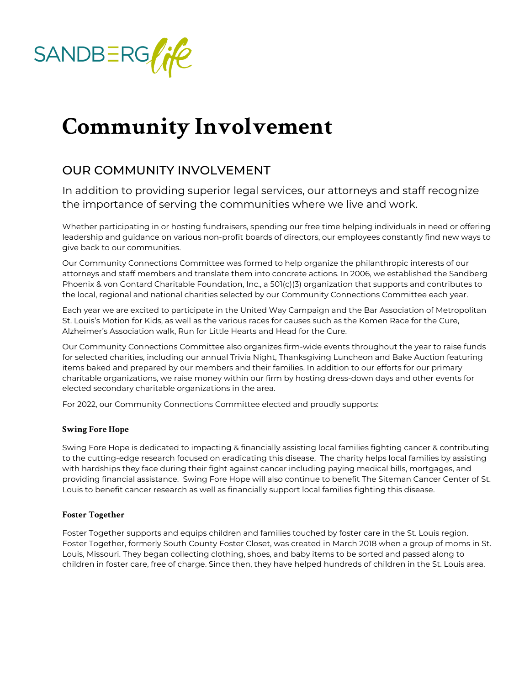# Community Involvement

## OUR COMMUNITY INVOLVEMENT

In addition to providing superior legal services, our attorneys the importance of serving the communities where we live and w

Whether participating in or hosting fundraisers, spending our free time helping indi leadership and guidance on various non-profit boards of directors, our employees co give back to our communities.

Our Community Connections Committee was formed to help organize the philanthrop attorneys and staff members and translate them into concrete actions. In 2006, we  $\epsilon$ Phoenix & von Gontard Charitable Foundation, Inc., a  $501(c)(3)$  organization that supports the local, regional and national charities selected by our Community Connections C

Each year we are excited to participate in the United Way Campaign and the Bar As St. Louis s Motion for Kids, as well as the various races for causes such as the Kor Alzheimer s Association walk, Run for Little Hearts and Head for the Cure.

Our Community Connections Committee also organizes firm-wide events throughout t for selected charities, including our annual Trivia Night, Thanksgiving Luncheon and items baked and prepared by our members and their families. In addition to our effo charitable organizations, we raise money within our firm by hosting dress-down days elected secondary charitable organizations in the area.

For 2022, our Community Connections Committee elected and proudly supports:

#### Swing Fore Hope

[Swing Fore](https://swingforehope.org/) Hiospeledicated to impacting & financially assisting local families fighting to the cutting-edge research focused on eradicating this disease. The charity helps with hardships they face during their fight against cancer including paying medical providing financial assistance. Swing Fore Hope will also continue to benefit The S Louis to benefit cancer research as well as financially support local families fightin

### Foster Together

[Foster Toge](https://www.foster-together.org/)thue prorts and equips children and families touched by foster care in the Foster Together, formerly South County Foster Closet, was created in March 2018 w Louis, Missouri. They began collecting clothing, shoes, and baby items to be sorted children in foster care, free of charge. Since then, they have helped hundreds of ch